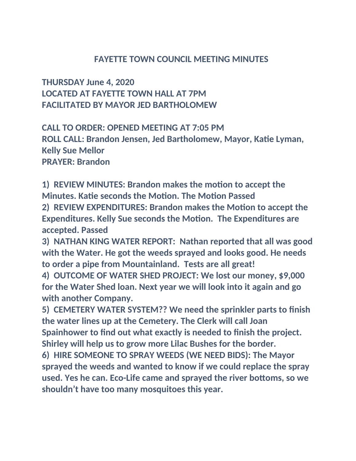## **FAYETTE TOWN COUNCIL MEETING MINUTES**

**THURSDAY June 4, 2020 LOCATED AT FAYETTE TOWN HALL AT 7PM FACILITATED BY MAYOR JED BARTHOLOMEW**

**CALL TO ORDER: OPENED MEETING AT 7:05 PM ROLL CALL: Brandon Jensen, Jed Bartholomew, Mayor, Katie Lyman, Kelly Sue Mellor PRAYER: Brandon**

**1) REVIEW MINUTES: Brandon makes the motion to accept the Minutes. Katie seconds the Motion. The Motion Passed 2) REVIEW EXPENDITURES: Brandon makes the Motion to accept the Expenditures. Kelly Sue seconds the Motion. The Expenditures are accepted. Passed**

**3) NATHAN KING WATER REPORT: Nathan reported that all was good with the Water. He got the weeds sprayed and looks good. He needs to order a pipe from Mountainland. Tests are all great!**

**4) OUTCOME OF WATER SHED PROJECT: We lost our money, \$9,000 for the Water Shed loan. Next year we will look into it again and go with another Company.**

**5) CEMETERY WATER SYSTEM?? We need the sprinkler parts to finish the water lines up at the Cemetery. The Clerk will call Joan Spainhower to find out what exactly is needed to finish the project. Shirley will help us to grow more Lilac Bushes for the border.**

**6) HIRE SOMEONE TO SPRAY WEEDS (WE NEED BIDS): The Mayor sprayed the weeds and wanted to know if we could replace the spray used. Yes he can. Eco-Life came and sprayed the river bottoms, so we shouldn't have too many mosquitoes this year.**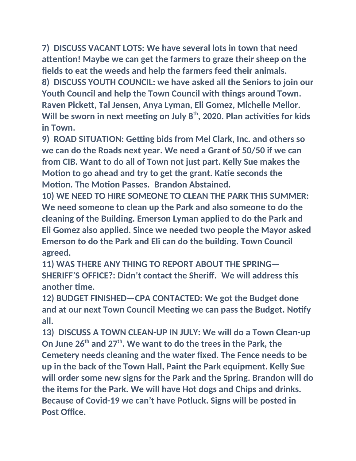**7) DISCUSS VACANT LOTS: We have several lots in town that need attention! Maybe we can get the farmers to graze their sheep on the fields to eat the weeds and help the farmers feed their animals. 8) DISCUSS YOUTH COUNCIL: we have asked all the Seniors to join our Youth Council and help the Town Council with things around Town. Raven Pickett, Tal Jensen, Anya Lyman, Eli Gomez, Michelle Mellor. Will be sworn in next meeting on July 8th, 2020. Plan activities for kids in Town.**

**9) ROAD SITUATION: Getting bids from Mel Clark, Inc. and others so we can do the Roads next year. We need a Grant of 50/50 if we can from CIB. Want to do all of Town not just part. Kelly Sue makes the Motion to go ahead and try to get the grant. Katie seconds the Motion. The Motion Passes. Brandon Abstained.**

**10) WE NEED TO HIRE SOMEONE TO CLEAN THE PARK THIS SUMMER: We need someone to clean up the Park and also someone to do the cleaning of the Building. Emerson Lyman applied to do the Park and Eli Gomez also applied. Since we needed two people the Mayor asked Emerson to do the Park and Eli can do the building. Town Council agreed.**

**11) WAS THERE ANY THING TO REPORT ABOUT THE SPRING— SHERIFF'S OFFICE?: Didn't contact the Sheriff. We will address this another time.**

**12) BUDGET FINISHED—CPA CONTACTED: We got the Budget done and at our next Town Council Meeting we can pass the Budget. Notify all.**

**13) DISCUSS A TOWN CLEAN-UP IN JULY: We will do a Town Clean-up On June 26th and 27th. We want to do the trees in the Park, the Cemetery needs cleaning and the water fixed. The Fence needs to be up in the back of the Town Hall, Paint the Park equipment. Kelly Sue will order some new signs for the Park and the Spring. Brandon will do the items for the Park. We will have Hot dogs and Chips and drinks. Because of Covid-19 we can't have Potluck. Signs will be posted in Post Office.**